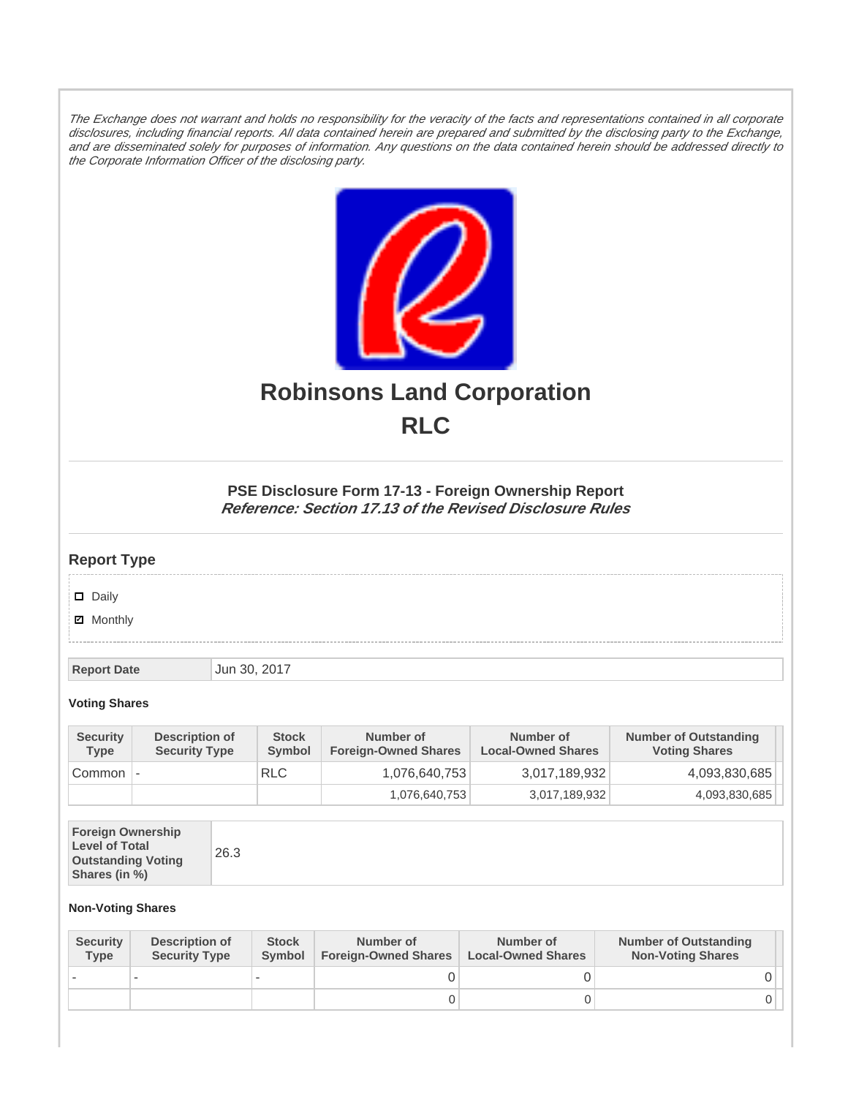The Exchange does not warrant and holds no responsibility for the veracity of the facts and representations contained in all corporate disclosures, including financial reports. All data contained herein are prepared and submitted by the disclosing party to the Exchange, and are disseminated solely for purposes of information. Any questions on the data contained herein should be addressed directly to the Corporate Information Officer of the disclosing party.



# **Robinsons Land Corporation RLC**

## **PSE Disclosure Form 17-13 - Foreign Ownership Report Reference: Section 17.13 of the Revised Disclosure Rules**

## **Report Type**

Daily

**Ø** Monthly

**Report Date Jun 30, 2017** 

#### **Voting Shares**

| <b>Security</b><br><b>Type</b> | Description of<br><b>Security Type</b> | <b>Stock</b><br>Symbol | Number of<br><b>Foreign-Owned Shares</b> | Number of<br><b>Local-Owned Shares</b> | <b>Number of Outstanding</b><br><b>Voting Shares</b> |
|--------------------------------|----------------------------------------|------------------------|------------------------------------------|----------------------------------------|------------------------------------------------------|
| Common                         | $\overline{\phantom{a}}$               | <b>RLC</b>             | 1,076,640,753                            | 3,017,189,932                          | 4,093,830,685                                        |
|                                |                                        |                        | 1,076,640,753                            | 3,017,189,932                          | 4,093,830,685                                        |

| <b>Foreign Ownership</b><br><b>Level of Total</b><br><b>Outstanding Voting</b><br>Shares (in %) |
|-------------------------------------------------------------------------------------------------|
|-------------------------------------------------------------------------------------------------|

### **Non-Voting Shares**

| <b>Security</b><br><b>Type</b> | Description of<br><b>Security Type</b> | <b>Stock</b><br><b>Symbol</b> | Number of<br><b>Foreign-Owned Shares</b> | Number of<br><b>Local-Owned Shares</b> | <b>Number of Outstanding</b><br><b>Non-Voting Shares</b> |
|--------------------------------|----------------------------------------|-------------------------------|------------------------------------------|----------------------------------------|----------------------------------------------------------|
|                                |                                        |                               |                                          |                                        |                                                          |
|                                |                                        |                               | O                                        |                                        |                                                          |